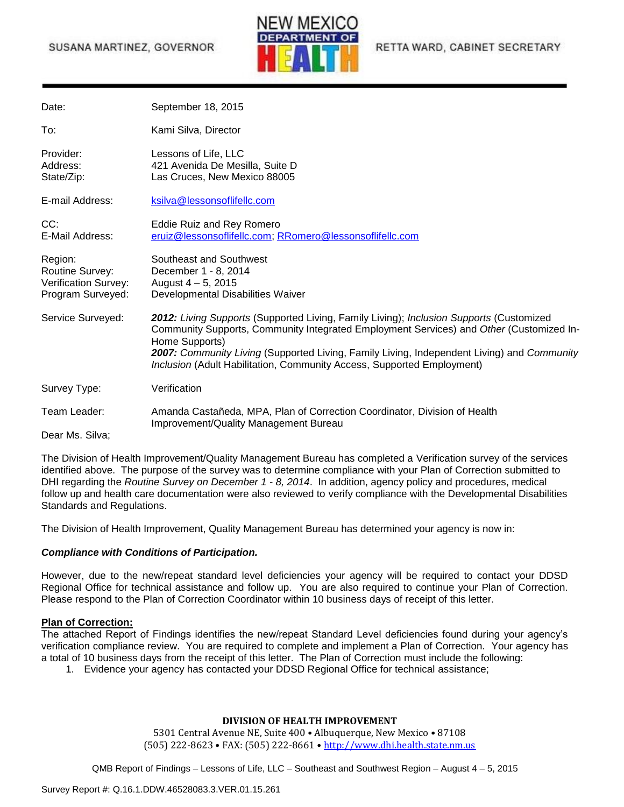# SUSANA MARTINEZ, GOVERNOR



RETTA WARD, CABINET SECRETARY

| Date:                                                                   | September 18, 2015                                                                                                                                                                                                                                                                                                                                                           |
|-------------------------------------------------------------------------|------------------------------------------------------------------------------------------------------------------------------------------------------------------------------------------------------------------------------------------------------------------------------------------------------------------------------------------------------------------------------|
| To:                                                                     | Kami Silva, Director                                                                                                                                                                                                                                                                                                                                                         |
| Provider:<br>Address:<br>State/Zip:                                     | Lessons of Life, LLC<br>421 Avenida De Mesilla, Suite D<br>Las Cruces, New Mexico 88005                                                                                                                                                                                                                                                                                      |
| E-mail Address:                                                         | ksilva@lessonsoflifellc.com                                                                                                                                                                                                                                                                                                                                                  |
| CC:<br>E-Mail Address:                                                  | Eddie Ruiz and Rey Romero<br>eruiz@lessonsoflifellc.com; RRomero@lessonsoflifellc.com                                                                                                                                                                                                                                                                                        |
| Region:<br>Routine Survey:<br>Verification Survey:<br>Program Surveyed: | Southeast and Southwest<br>December 1 - 8, 2014<br>August $4 - 5$ , 2015<br>Developmental Disabilities Waiver                                                                                                                                                                                                                                                                |
| Service Surveyed:                                                       | 2012: Living Supports (Supported Living, Family Living); Inclusion Supports (Customized<br>Community Supports, Community Integrated Employment Services) and Other (Customized In-<br>Home Supports)<br>2007: Community Living (Supported Living, Family Living, Independent Living) and Community<br>Inclusion (Adult Habilitation, Community Access, Supported Employment) |
| Survey Type:                                                            | Verification                                                                                                                                                                                                                                                                                                                                                                 |
| Team Leader:                                                            | Amanda Castañeda, MPA, Plan of Correction Coordinator, Division of Health                                                                                                                                                                                                                                                                                                    |
| Dear Ms. Silva;                                                         | Improvement/Quality Management Bureau                                                                                                                                                                                                                                                                                                                                        |

The Division of Health Improvement/Quality Management Bureau has completed a Verification survey of the services identified above. The purpose of the survey was to determine compliance with your Plan of Correction submitted to DHI regarding the *Routine Survey on December 1 - 8, 2014*. In addition, agency policy and procedures, medical follow up and health care documentation were also reviewed to verify compliance with the Developmental Disabilities Standards and Regulations.

The Division of Health Improvement, Quality Management Bureau has determined your agency is now in:

#### *Compliance with Conditions of Participation.*

However, due to the new/repeat standard level deficiencies your agency will be required to contact your DDSD Regional Office for technical assistance and follow up. You are also required to continue your Plan of Correction. Please respond to the Plan of Correction Coordinator within 10 business days of receipt of this letter.

#### **Plan of Correction:**

The attached Report of Findings identifies the new/repeat Standard Level deficiencies found during your agency's verification compliance review. You are required to complete and implement a Plan of Correction. Your agency has a total of 10 business days from the receipt of this letter. The Plan of Correction must include the following:

1. Evidence your agency has contacted your DDSD Regional Office for technical assistance;

#### **DIVISION OF HEALTH IMPROVEMENT**

5301 Central Avenue NE, Suite 400 • Albuquerque, New Mexico • 87108 (505) 222-8623 • FAX: (505) 222-8661 • [http://www.dhi.health.state.nm.us](http://www.dhi.health.state.nm.us/)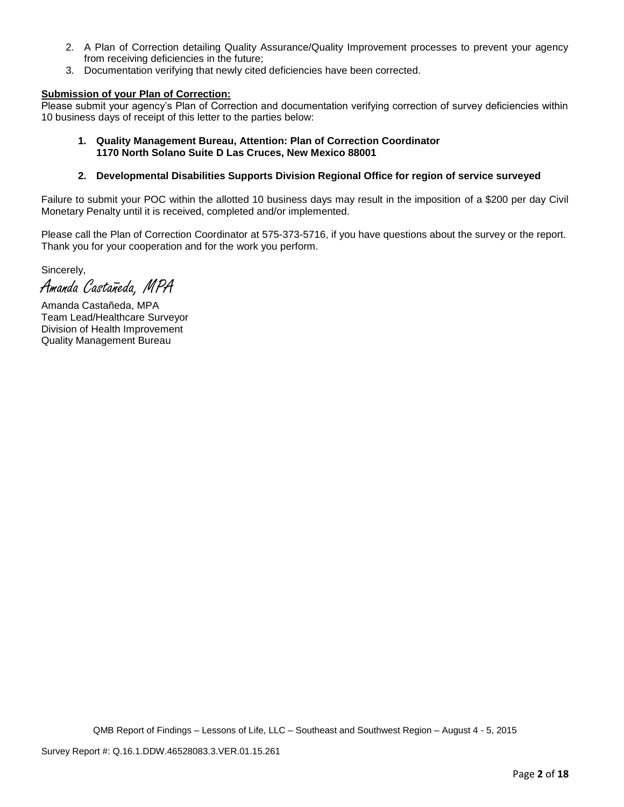- 2. A Plan of Correction detailing Quality Assurance/Quality Improvement processes to prevent your agency from receiving deficiencies in the future;
- 3. Documentation verifying that newly cited deficiencies have been corrected.

## **Submission of your Plan of Correction:**

Please submit your agency's Plan of Correction and documentation verifying correction of survey deficiencies within 10 business days of receipt of this letter to the parties below:

#### **1. Quality Management Bureau, Attention: Plan of Correction Coordinator 1170 North Solano Suite D Las Cruces, New Mexico 88001**

### **2. Developmental Disabilities Supports Division Regional Office for region of service surveyed**

Failure to submit your POC within the allotted 10 business days may result in the imposition of a \$200 per day Civil Monetary Penalty until it is received, completed and/or implemented.

Please call the Plan of Correction Coordinator at 575-373-5716, if you have questions about the survey or the report. Thank you for your cooperation and for the work you perform.

Sincerely,

Amanda Castañeda, MPA

Amanda Castañeda, MPA Team Lead/Healthcare Surveyor Division of Health Improvement Quality Management Bureau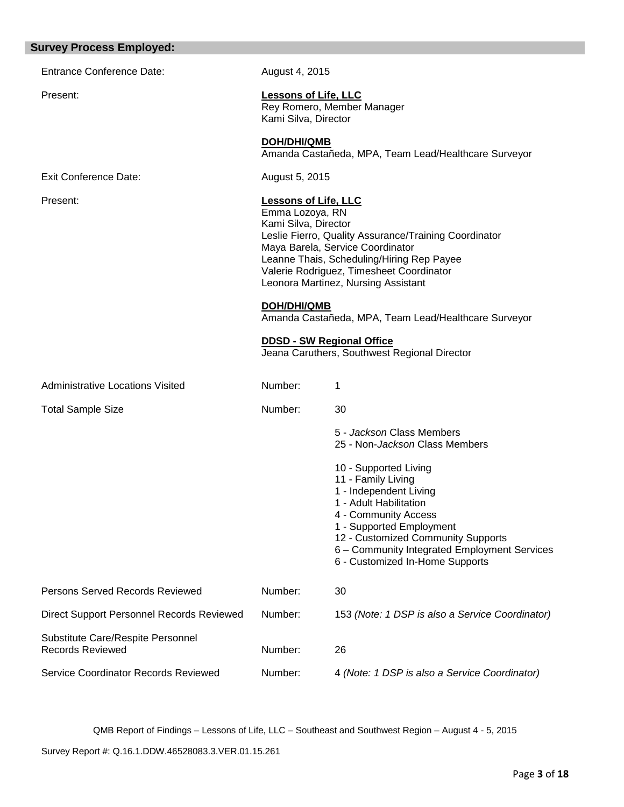#### **Survey Process Employed:**

Entrance Conference Date: August 4, 2015

Exit Conference Date: August 5, 2015

Present: **Lessons of Life, LLC** Rey Romero, Member Manager Kami Silva, Director

> **DOH/DHI/QMB** Amanda Castañeda, MPA, Team Lead/Healthcare Surveyor

# Present: **Lessons of Life, LLC**

Emma Lozoya, RN Kami Silva, Director Leslie Fierro, Quality Assurance/Training Coordinator Maya Barela, Service Coordinator Leanne Thais, Scheduling/Hiring Rep Payee Valerie Rodriguez, Timesheet Coordinator Leonora Martinez, Nursing Assistant

**DOH/DHI/QMB**

Amanda Castañeda, MPA, Team Lead/Healthcare Surveyor

#### **DDSD - SW Regional Office**

Jeana Caruthers, Southwest Regional Director

| <b>Administrative Locations Visited</b>                      | Number: |                                                                                                                                                                                                                                                                              |
|--------------------------------------------------------------|---------|------------------------------------------------------------------------------------------------------------------------------------------------------------------------------------------------------------------------------------------------------------------------------|
| <b>Total Sample Size</b>                                     | Number: | 30                                                                                                                                                                                                                                                                           |
|                                                              |         | 5 - Jackson Class Members<br>25 - Non-Jackson Class Members                                                                                                                                                                                                                  |
|                                                              |         | 10 - Supported Living<br>11 - Family Living<br>1 - Independent Living<br>1 - Adult Habilitation<br>4 - Community Access<br>1 - Supported Employment<br>12 - Customized Community Supports<br>6 – Community Integrated Employment Services<br>6 - Customized In-Home Supports |
| Persons Served Records Reviewed                              | Number: | 30                                                                                                                                                                                                                                                                           |
| Direct Support Personnel Records Reviewed                    | Number: | 153 (Note: 1 DSP is also a Service Coordinator)                                                                                                                                                                                                                              |
| Substitute Care/Respite Personnel<br><b>Records Reviewed</b> | Number: | 26                                                                                                                                                                                                                                                                           |
| Service Coordinator Records Reviewed                         | Number: | 4 (Note: 1 DSP is also a Service Coordinator)                                                                                                                                                                                                                                |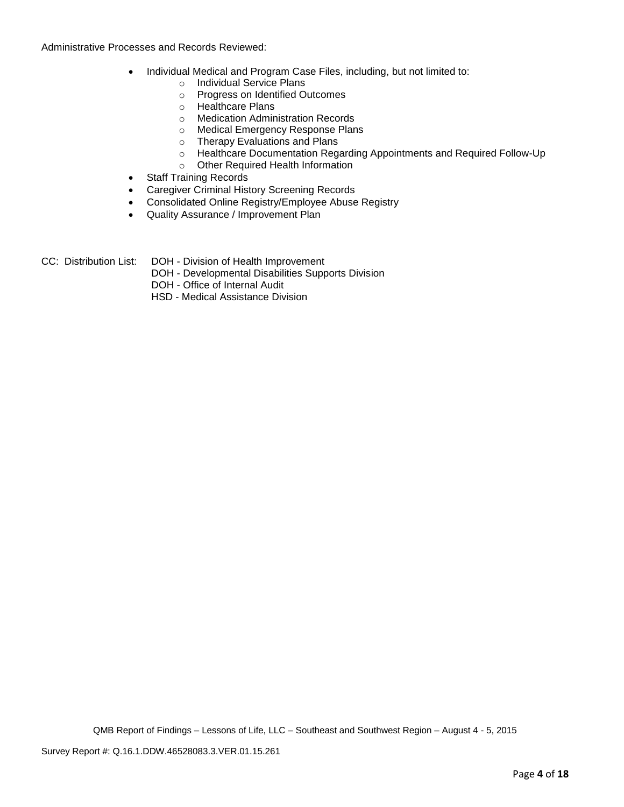Administrative Processes and Records Reviewed:

- Individual Medical and Program Case Files, including, but not limited to:
	- o Individual Service Plans
	- o Progress on Identified Outcomes
	- o Healthcare Plans
	- o Medication Administration Records
	- o Medical Emergency Response Plans
	- o Therapy Evaluations and Plans
	- o Healthcare Documentation Regarding Appointments and Required Follow-Up
	- o Other Required Health Information
- Staff Training Records
- Caregiver Criminal History Screening Records
- Consolidated Online Registry/Employee Abuse Registry
- Quality Assurance / Improvement Plan
- CC: Distribution List: DOH Division of Health Improvement
	- DOH Developmental Disabilities Supports Division
	- DOH Office of Internal Audit
	- HSD Medical Assistance Division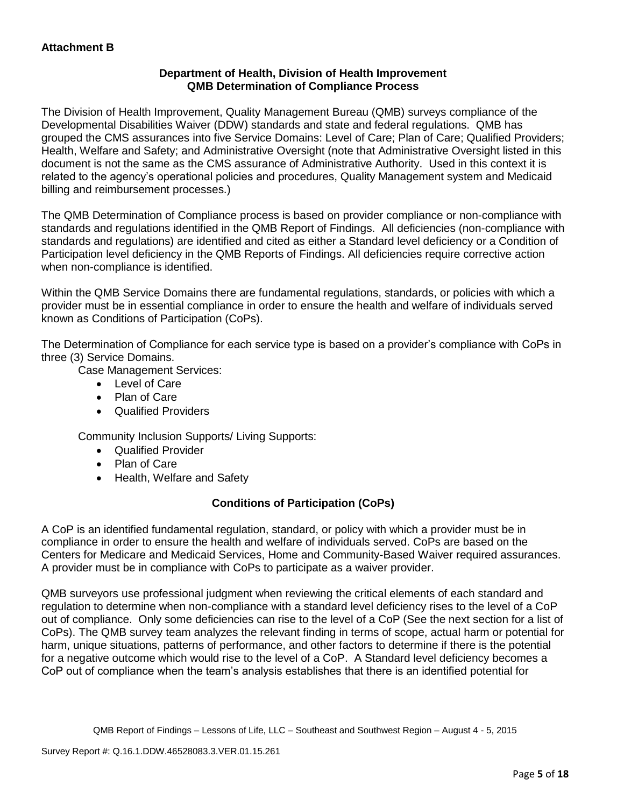# **Department of Health, Division of Health Improvement QMB Determination of Compliance Process**

The Division of Health Improvement, Quality Management Bureau (QMB) surveys compliance of the Developmental Disabilities Waiver (DDW) standards and state and federal regulations. QMB has grouped the CMS assurances into five Service Domains: Level of Care; Plan of Care; Qualified Providers; Health, Welfare and Safety; and Administrative Oversight (note that Administrative Oversight listed in this document is not the same as the CMS assurance of Administrative Authority. Used in this context it is related to the agency's operational policies and procedures, Quality Management system and Medicaid billing and reimbursement processes.)

The QMB Determination of Compliance process is based on provider compliance or non-compliance with standards and regulations identified in the QMB Report of Findings. All deficiencies (non-compliance with standards and regulations) are identified and cited as either a Standard level deficiency or a Condition of Participation level deficiency in the QMB Reports of Findings. All deficiencies require corrective action when non-compliance is identified.

Within the QMB Service Domains there are fundamental regulations, standards, or policies with which a provider must be in essential compliance in order to ensure the health and welfare of individuals served known as Conditions of Participation (CoPs).

The Determination of Compliance for each service type is based on a provider's compliance with CoPs in three (3) Service Domains.

Case Management Services:

- Level of Care
- Plan of Care
- Qualified Providers

Community Inclusion Supports/ Living Supports:

- Qualified Provider
- Plan of Care
- Health, Welfare and Safety

# **Conditions of Participation (CoPs)**

A CoP is an identified fundamental regulation, standard, or policy with which a provider must be in compliance in order to ensure the health and welfare of individuals served. CoPs are based on the Centers for Medicare and Medicaid Services, Home and Community-Based Waiver required assurances. A provider must be in compliance with CoPs to participate as a waiver provider.

QMB surveyors use professional judgment when reviewing the critical elements of each standard and regulation to determine when non-compliance with a standard level deficiency rises to the level of a CoP out of compliance. Only some deficiencies can rise to the level of a CoP (See the next section for a list of CoPs). The QMB survey team analyzes the relevant finding in terms of scope, actual harm or potential for harm, unique situations, patterns of performance, and other factors to determine if there is the potential for a negative outcome which would rise to the level of a CoP. A Standard level deficiency becomes a CoP out of compliance when the team's analysis establishes that there is an identified potential for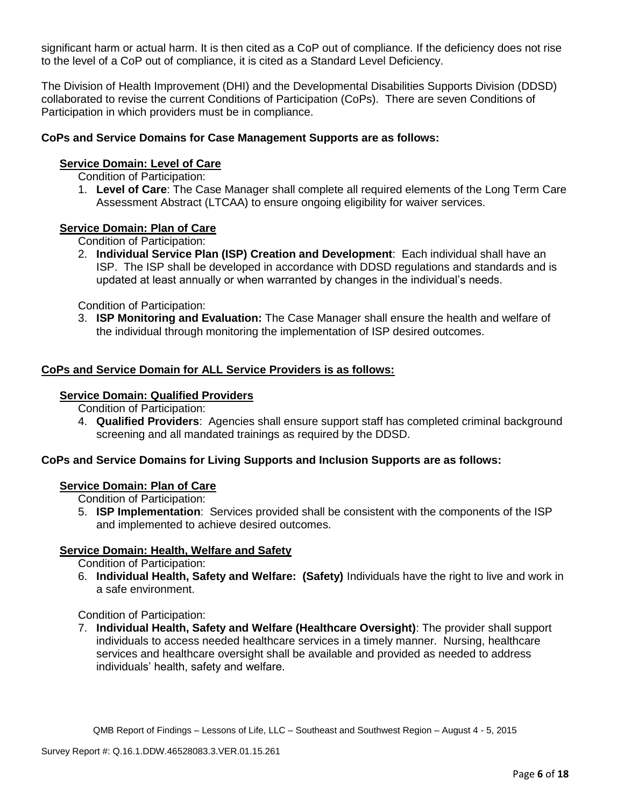significant harm or actual harm. It is then cited as a CoP out of compliance. If the deficiency does not rise to the level of a CoP out of compliance, it is cited as a Standard Level Deficiency.

The Division of Health Improvement (DHI) and the Developmental Disabilities Supports Division (DDSD) collaborated to revise the current Conditions of Participation (CoPs). There are seven Conditions of Participation in which providers must be in compliance.

# **CoPs and Service Domains for Case Management Supports are as follows:**

# **Service Domain: Level of Care**

Condition of Participation:

1. **Level of Care**: The Case Manager shall complete all required elements of the Long Term Care Assessment Abstract (LTCAA) to ensure ongoing eligibility for waiver services.

## **Service Domain: Plan of Care**

Condition of Participation:

2. **Individual Service Plan (ISP) Creation and Development**: Each individual shall have an ISP. The ISP shall be developed in accordance with DDSD regulations and standards and is updated at least annually or when warranted by changes in the individual's needs.

Condition of Participation:

3. **ISP Monitoring and Evaluation:** The Case Manager shall ensure the health and welfare of the individual through monitoring the implementation of ISP desired outcomes.

## **CoPs and Service Domain for ALL Service Providers is as follows:**

### **Service Domain: Qualified Providers**

Condition of Participation:

4. **Qualified Providers**: Agencies shall ensure support staff has completed criminal background screening and all mandated trainings as required by the DDSD.

# **CoPs and Service Domains for Living Supports and Inclusion Supports are as follows:**

## **Service Domain: Plan of Care**

Condition of Participation:

5. **ISP Implementation**: Services provided shall be consistent with the components of the ISP and implemented to achieve desired outcomes.

## **Service Domain: Health, Welfare and Safety**

Condition of Participation:

6. **Individual Health, Safety and Welfare: (Safety)** Individuals have the right to live and work in a safe environment.

## Condition of Participation:

7. **Individual Health, Safety and Welfare (Healthcare Oversight)**: The provider shall support individuals to access needed healthcare services in a timely manner. Nursing, healthcare services and healthcare oversight shall be available and provided as needed to address individuals' health, safety and welfare.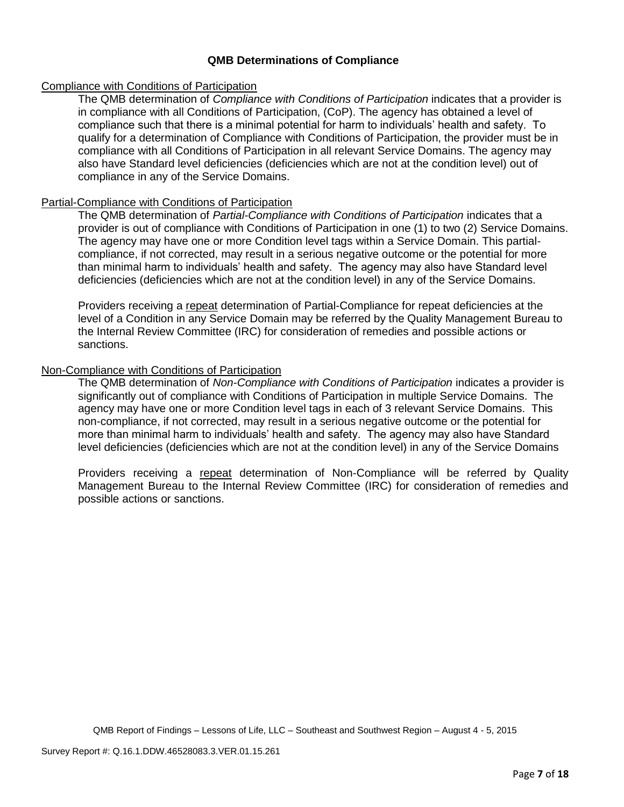# **QMB Determinations of Compliance**

## Compliance with Conditions of Participation

The QMB determination of *Compliance with Conditions of Participation* indicates that a provider is in compliance with all Conditions of Participation, (CoP). The agency has obtained a level of compliance such that there is a minimal potential for harm to individuals' health and safety. To qualify for a determination of Compliance with Conditions of Participation, the provider must be in compliance with all Conditions of Participation in all relevant Service Domains. The agency may also have Standard level deficiencies (deficiencies which are not at the condition level) out of compliance in any of the Service Domains.

## Partial-Compliance with Conditions of Participation

The QMB determination of *Partial-Compliance with Conditions of Participation* indicates that a provider is out of compliance with Conditions of Participation in one (1) to two (2) Service Domains. The agency may have one or more Condition level tags within a Service Domain. This partialcompliance, if not corrected, may result in a serious negative outcome or the potential for more than minimal harm to individuals' health and safety. The agency may also have Standard level deficiencies (deficiencies which are not at the condition level) in any of the Service Domains.

Providers receiving a repeat determination of Partial-Compliance for repeat deficiencies at the level of a Condition in any Service Domain may be referred by the Quality Management Bureau to the Internal Review Committee (IRC) for consideration of remedies and possible actions or sanctions.

## Non-Compliance with Conditions of Participation

The QMB determination of *Non-Compliance with Conditions of Participation* indicates a provider is significantly out of compliance with Conditions of Participation in multiple Service Domains. The agency may have one or more Condition level tags in each of 3 relevant Service Domains. This non-compliance, if not corrected, may result in a serious negative outcome or the potential for more than minimal harm to individuals' health and safety. The agency may also have Standard level deficiencies (deficiencies which are not at the condition level) in any of the Service Domains

Providers receiving a repeat determination of Non-Compliance will be referred by Quality Management Bureau to the Internal Review Committee (IRC) for consideration of remedies and possible actions or sanctions.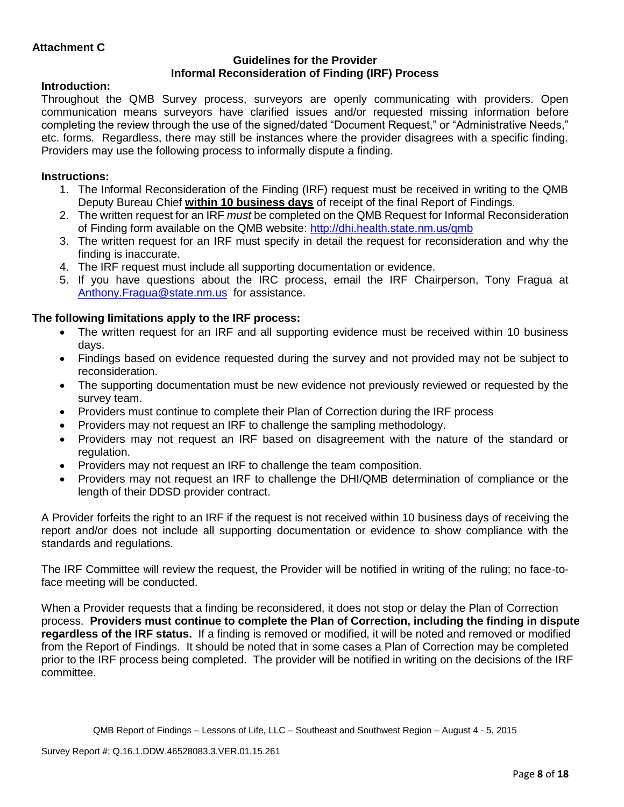# **Guidelines for the Provider Informal Reconsideration of Finding (IRF) Process**

# **Introduction:**

Throughout the QMB Survey process, surveyors are openly communicating with providers. Open communication means surveyors have clarified issues and/or requested missing information before completing the review through the use of the signed/dated "Document Request," or "Administrative Needs," etc. forms. Regardless, there may still be instances where the provider disagrees with a specific finding. Providers may use the following process to informally dispute a finding.

# **Instructions:**

- 1. The Informal Reconsideration of the Finding (IRF) request must be received in writing to the QMB Deputy Bureau Chief **within 10 business days** of receipt of the final Report of Findings.
- 2. The written request for an IRF *must* be completed on the QMB Request for Informal Reconsideration of Finding form available on the QMB website:<http://dhi.health.state.nm.us/qmb>
- 3. The written request for an IRF must specify in detail the request for reconsideration and why the finding is inaccurate.
- 4. The IRF request must include all supporting documentation or evidence.
- 5. If you have questions about the IRC process, email the IRF Chairperson, Tony Fragua at [Anthony.Fragua@state.nm.us](mailto:Anthony.Fragua@state.nm.us) for assistance.

# **The following limitations apply to the IRF process:**

- The written request for an IRF and all supporting evidence must be received within 10 business days.
- Findings based on evidence requested during the survey and not provided may not be subject to reconsideration.
- The supporting documentation must be new evidence not previously reviewed or requested by the survey team.
- Providers must continue to complete their Plan of Correction during the IRF process
- Providers may not request an IRF to challenge the sampling methodology.
- Providers may not request an IRF based on disagreement with the nature of the standard or regulation.
- Providers may not request an IRF to challenge the team composition.
- Providers may not request an IRF to challenge the DHI/QMB determination of compliance or the length of their DDSD provider contract.

A Provider forfeits the right to an IRF if the request is not received within 10 business days of receiving the report and/or does not include all supporting documentation or evidence to show compliance with the standards and regulations.

The IRF Committee will review the request, the Provider will be notified in writing of the ruling; no face-toface meeting will be conducted.

When a Provider requests that a finding be reconsidered, it does not stop or delay the Plan of Correction process. **Providers must continue to complete the Plan of Correction, including the finding in dispute regardless of the IRF status.** If a finding is removed or modified, it will be noted and removed or modified from the Report of Findings. It should be noted that in some cases a Plan of Correction may be completed prior to the IRF process being completed. The provider will be notified in writing on the decisions of the IRF committee.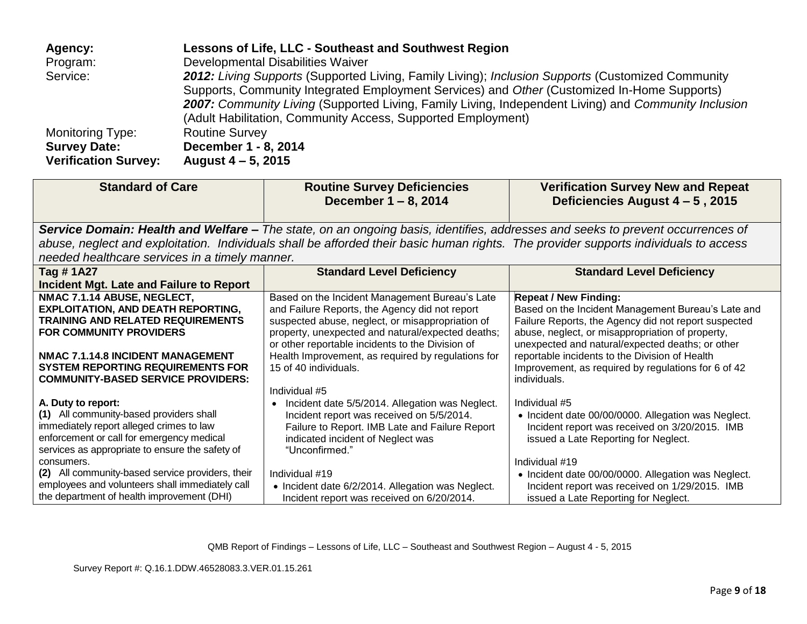| Agency:                     | Lessons of Life, LLC - Southeast and Southwest Region                                                |
|-----------------------------|------------------------------------------------------------------------------------------------------|
| Program:                    | Developmental Disabilities Waiver                                                                    |
| Service:                    | 2012: Living Supports (Supported Living, Family Living); Inclusion Supports (Customized Community    |
|                             | Supports, Community Integrated Employment Services) and Other (Customized In-Home Supports)          |
|                             | 2007: Community Living (Supported Living, Family Living, Independent Living) and Community Inclusion |
|                             | (Adult Habilitation, Community Access, Supported Employment)                                         |
| <b>Monitoring Type:</b>     | <b>Routine Survey</b>                                                                                |
| <b>Survey Date:</b>         | December 1 - 8, 2014                                                                                 |
| <b>Verification Survey:</b> | August 4 – 5, 2015                                                                                   |

| <b>Standard of Care</b>                                                    | <b>Routine Survey Deficiencies</b><br>December 1 - 8, 2014                                                                           | <b>Verification Survey New and Repeat</b><br>Deficiencies August 4 - 5, 2015                             |
|----------------------------------------------------------------------------|--------------------------------------------------------------------------------------------------------------------------------------|----------------------------------------------------------------------------------------------------------|
|                                                                            | Service Domain: Health and Welfare – The state, on an ongoing basis, identifies, addresses and seeks to prevent occurrences of       |                                                                                                          |
|                                                                            | abuse, neglect and exploitation. Individuals shall be afforded their basic human rights. The provider supports individuals to access |                                                                                                          |
| needed healthcare services in a timely manner.                             |                                                                                                                                      |                                                                                                          |
| Tag # 1A27                                                                 | <b>Standard Level Deficiency</b>                                                                                                     | <b>Standard Level Deficiency</b>                                                                         |
| Incident Mgt. Late and Failure to Report                                   |                                                                                                                                      |                                                                                                          |
| NMAC 7.1.14 ABUSE, NEGLECT,                                                | Based on the Incident Management Bureau's Late                                                                                       | <b>Repeat / New Finding:</b>                                                                             |
| <b>EXPLOITATION, AND DEATH REPORTING,</b>                                  | and Failure Reports, the Agency did not report                                                                                       | Based on the Incident Management Bureau's Late and                                                       |
| <b>TRAINING AND RELATED REQUIREMENTS</b><br><b>FOR COMMUNITY PROVIDERS</b> | suspected abuse, neglect, or misappropriation of<br>property, unexpected and natural/expected deaths;                                | Failure Reports, the Agency did not report suspected<br>abuse, neglect, or misappropriation of property, |
|                                                                            | or other reportable incidents to the Division of                                                                                     | unexpected and natural/expected deaths; or other                                                         |
| NMAC 7.1.14.8 INCIDENT MANAGEMENT                                          | Health Improvement, as required by regulations for                                                                                   | reportable incidents to the Division of Health                                                           |
| <b>SYSTEM REPORTING REQUIREMENTS FOR</b>                                   | 15 of 40 individuals.                                                                                                                | Improvement, as required by regulations for 6 of 42                                                      |
| <b>COMMUNITY-BASED SERVICE PROVIDERS:</b>                                  |                                                                                                                                      | individuals.                                                                                             |
|                                                                            | Individual #5                                                                                                                        |                                                                                                          |
| A. Duty to report:<br>(1) All community-based providers shall              | • Incident date 5/5/2014. Allegation was Neglect.<br>Incident report was received on 5/5/2014.                                       | Individual #5<br>• Incident date 00/00/0000. Allegation was Neglect.                                     |
| immediately report alleged crimes to law                                   | Failure to Report. IMB Late and Failure Report                                                                                       | Incident report was received on 3/20/2015. IMB                                                           |
| enforcement or call for emergency medical                                  | indicated incident of Neglect was                                                                                                    | issued a Late Reporting for Neglect.                                                                     |
| services as appropriate to ensure the safety of                            | "Unconfirmed."                                                                                                                       |                                                                                                          |
| consumers.                                                                 |                                                                                                                                      | Individual #19                                                                                           |
| (2) All community-based service providers, their                           | Individual #19                                                                                                                       | • Incident date 00/00/0000. Allegation was Neglect.                                                      |
| employees and volunteers shall immediately call                            | • Incident date 6/2/2014. Allegation was Neglect.                                                                                    | Incident report was received on 1/29/2015. IMB                                                           |
| the department of health improvement (DHI)                                 | Incident report was received on 6/20/2014.                                                                                           | issued a Late Reporting for Neglect.                                                                     |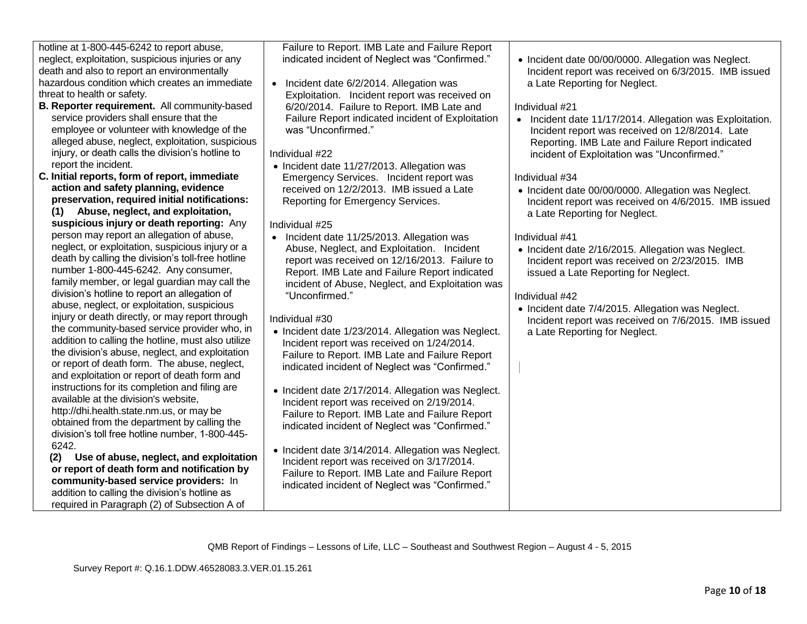| hotline at 1-800-445-6242 to report abuse,         | Failure to Report. IMB Late and Failure Report     |                                                          |
|----------------------------------------------------|----------------------------------------------------|----------------------------------------------------------|
| neglect, exploitation, suspicious injuries or any  | indicated incident of Neglect was "Confirmed."     | • Incident date 00/00/0000. Allegation was Neglect.      |
| death and also to report an environmentally        |                                                    | Incident report was received on 6/3/2015. IMB issued     |
| hazardous condition which creates an immediate     | Incident date 6/2/2014. Allegation was             | a Late Reporting for Neglect.                            |
| threat to health or safety.                        | Exploitation. Incident report was received on      |                                                          |
| B. Reporter requirement. All community-based       | 6/20/2014. Failure to Report. IMB Late and         | Individual #21                                           |
| service providers shall ensure that the            | Failure Report indicated incident of Exploitation  | • Incident date 11/17/2014. Allegation was Exploitation. |
| employee or volunteer with knowledge of the        | was "Unconfirmed."                                 | Incident report was received on 12/8/2014. Late          |
| alleged abuse, neglect, exploitation, suspicious   |                                                    | Reporting. IMB Late and Failure Report indicated         |
| injury, or death calls the division's hotline to   | Individual #22                                     | incident of Exploitation was "Unconfirmed."              |
| report the incident.                               | • Incident date 11/27/2013. Allegation was         |                                                          |
| C. Initial reports, form of report, immediate      | Emergency Services. Incident report was            | Individual #34                                           |
| action and safety planning, evidence               | received on 12/2/2013. IMB issued a Late           |                                                          |
| preservation, required initial notifications:      |                                                    | • Incident date 00/00/0000. Allegation was Neglect.      |
| (1) Abuse, neglect, and exploitation,              | Reporting for Emergency Services.                  | Incident report was received on 4/6/2015. IMB issued     |
|                                                    |                                                    | a Late Reporting for Neglect.                            |
| suspicious injury or death reporting: Any          | Individual #25                                     |                                                          |
| person may report an allegation of abuse,          | • Incident date 11/25/2013. Allegation was         | Individual #41                                           |
| neglect, or exploitation, suspicious injury or a   | Abuse, Neglect, and Exploitation. Incident         | • Incident date 2/16/2015. Allegation was Neglect.       |
| death by calling the division's toll-free hotline  | report was received on 12/16/2013. Failure to      | Incident report was received on 2/23/2015. IMB           |
| number 1-800-445-6242. Any consumer,               | Report. IMB Late and Failure Report indicated      | issued a Late Reporting for Neglect.                     |
| family member, or legal guardian may call the      | incident of Abuse, Neglect, and Exploitation was   |                                                          |
| division's hotline to report an allegation of      | "Unconfirmed."                                     | Individual #42                                           |
| abuse, neglect, or exploitation, suspicious        |                                                    | • Incident date 7/4/2015. Allegation was Neglect.        |
| injury or death directly, or may report through    | Individual #30                                     | Incident report was received on 7/6/2015. IMB issued     |
| the community-based service provider who, in       | • Incident date 1/23/2014. Allegation was Neglect. | a Late Reporting for Neglect.                            |
| addition to calling the hotline, must also utilize | Incident report was received on 1/24/2014.         |                                                          |
| the division's abuse, neglect, and exploitation    | Failure to Report. IMB Late and Failure Report     |                                                          |
| or report of death form. The abuse, neglect,       | indicated incident of Neglect was "Confirmed."     |                                                          |
| and exploitation or report of death form and       |                                                    |                                                          |
| instructions for its completion and filing are     | • Incident date 2/17/2014. Allegation was Neglect. |                                                          |
| available at the division's website,               | Incident report was received on 2/19/2014.         |                                                          |
| http://dhi.health.state.nm.us, or may be           | Failure to Report. IMB Late and Failure Report     |                                                          |
| obtained from the department by calling the        | indicated incident of Neglect was "Confirmed."     |                                                          |
| division's toll free hotline number, 1-800-445-    |                                                    |                                                          |
| 6242.                                              |                                                    |                                                          |
| Use of abuse, neglect, and exploitation<br>(2)     | • Incident date 3/14/2014. Allegation was Neglect. |                                                          |
| or report of death form and notification by        | Incident report was received on 3/17/2014.         |                                                          |
| community-based service providers: In              | Failure to Report. IMB Late and Failure Report     |                                                          |
| addition to calling the division's hotline as      | indicated incident of Neglect was "Confirmed."     |                                                          |
| required in Paragraph (2) of Subsection A of       |                                                    |                                                          |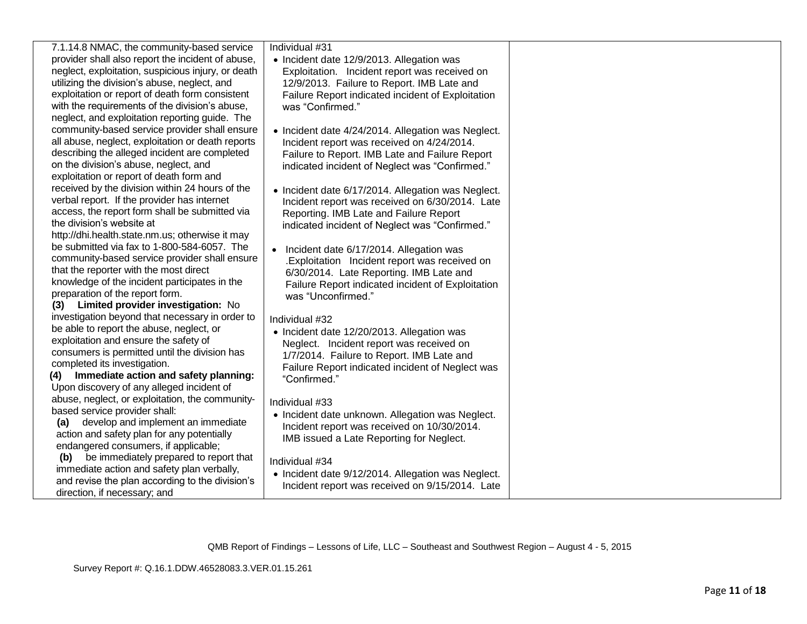| 7.1.14.8 NMAC, the community-based service         | Individual #31                                       |  |
|----------------------------------------------------|------------------------------------------------------|--|
| provider shall also report the incident of abuse,  | • Incident date 12/9/2013. Allegation was            |  |
| neglect, exploitation, suspicious injury, or death | Exploitation. Incident report was received on        |  |
| utilizing the division's abuse, neglect, and       | 12/9/2013. Failure to Report. IMB Late and           |  |
| exploitation or report of death form consistent    | Failure Report indicated incident of Exploitation    |  |
| with the requirements of the division's abuse,     | was "Confirmed."                                     |  |
| neglect, and exploitation reporting guide. The     |                                                      |  |
| community-based service provider shall ensure      | • Incident date 4/24/2014. Allegation was Neglect.   |  |
| all abuse, neglect, exploitation or death reports  | Incident report was received on 4/24/2014.           |  |
| describing the alleged incident are completed      | Failure to Report. IMB Late and Failure Report       |  |
| on the division's abuse, neglect, and              | indicated incident of Neglect was "Confirmed."       |  |
| exploitation or report of death form and           |                                                      |  |
| received by the division within 24 hours of the    | • Incident date 6/17/2014. Allegation was Neglect.   |  |
| verbal report. If the provider has internet        | Incident report was received on 6/30/2014. Late      |  |
| access, the report form shall be submitted via     | Reporting. IMB Late and Failure Report               |  |
| the division's website at                          |                                                      |  |
| http://dhi.health.state.nm.us; otherwise it may    | indicated incident of Neglect was "Confirmed."       |  |
| be submitted via fax to 1-800-584-6057. The        |                                                      |  |
| community-based service provider shall ensure      | Incident date 6/17/2014. Allegation was<br>$\bullet$ |  |
| that the reporter with the most direct             | .Exploitation Incident report was received on        |  |
| knowledge of the incident participates in the      | 6/30/2014. Late Reporting. IMB Late and              |  |
| preparation of the report form.                    | Failure Report indicated incident of Exploitation    |  |
| (3) Limited provider investigation: No             | was "Unconfirmed."                                   |  |
|                                                    |                                                      |  |
| investigation beyond that necessary in order to    | Individual #32                                       |  |
| be able to report the abuse, neglect, or           | • Incident date 12/20/2013. Allegation was           |  |
| exploitation and ensure the safety of              | Neglect. Incident report was received on             |  |
| consumers is permitted until the division has      | 1/7/2014. Failure to Report. IMB Late and            |  |
| completed its investigation.                       | Failure Report indicated incident of Neglect was     |  |
| (4) Immediate action and safety planning:          | "Confirmed."                                         |  |
| Upon discovery of any alleged incident of          |                                                      |  |
| abuse, neglect, or exploitation, the community-    | Individual #33                                       |  |
| based service provider shall:                      | • Incident date unknown. Allegation was Neglect.     |  |
| develop and implement an immediate<br>(a)          | Incident report was received on 10/30/2014.          |  |
| action and safety plan for any potentially         | IMB issued a Late Reporting for Neglect.             |  |
| endangered consumers, if applicable;               |                                                      |  |
| be immediately prepared to report that<br>(b)      | Individual #34                                       |  |
| immediate action and safety plan verbally,         | • Incident date 9/12/2014. Allegation was Neglect.   |  |
| and revise the plan according to the division's    | Incident report was received on 9/15/2014. Late      |  |
| direction, if necessary; and                       |                                                      |  |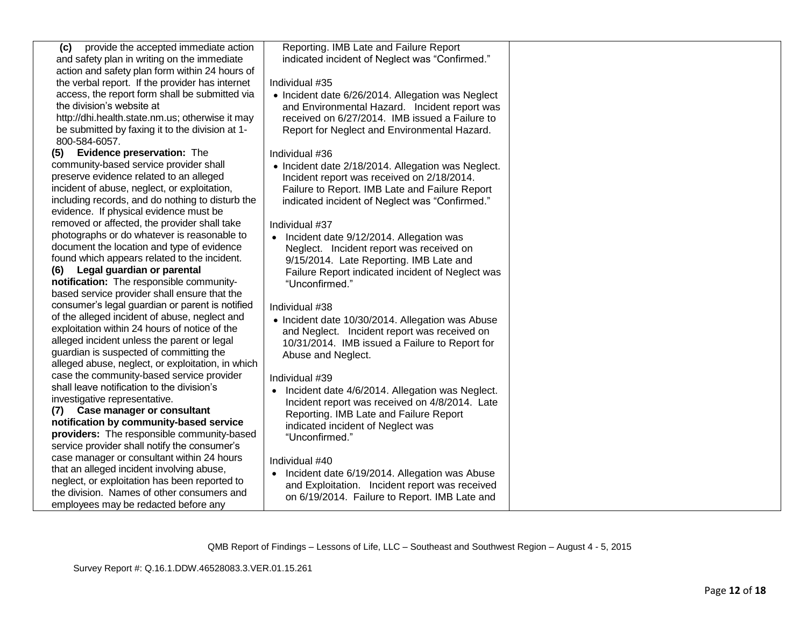| provide the accepted immediate action<br>(c)      | Reporting. IMB Late and Failure Report             |  |
|---------------------------------------------------|----------------------------------------------------|--|
| and safety plan in writing on the immediate       | indicated incident of Neglect was "Confirmed."     |  |
| action and safety plan form within 24 hours of    |                                                    |  |
| the verbal report. If the provider has internet   | Individual #35                                     |  |
| access, the report form shall be submitted via    | • Incident date 6/26/2014. Allegation was Neglect  |  |
| the division's website at                         | and Environmental Hazard. Incident report was      |  |
| http://dhi.health.state.nm.us; otherwise it may   | received on 6/27/2014. IMB issued a Failure to     |  |
| be submitted by faxing it to the division at 1-   | Report for Neglect and Environmental Hazard.       |  |
| 800-584-6057.                                     |                                                    |  |
| Evidence preservation: The<br>(5)                 | Individual #36                                     |  |
| community-based service provider shall            | • Incident date 2/18/2014. Allegation was Neglect. |  |
| preserve evidence related to an alleged           | Incident report was received on 2/18/2014.         |  |
| incident of abuse, neglect, or exploitation,      | Failure to Report. IMB Late and Failure Report     |  |
| including records, and do nothing to disturb the  | indicated incident of Neglect was "Confirmed."     |  |
| evidence. If physical evidence must be            |                                                    |  |
| removed or affected, the provider shall take      | Individual #37                                     |  |
| photographs or do whatever is reasonable to       | • Incident date 9/12/2014. Allegation was          |  |
| document the location and type of evidence        | Neglect. Incident report was received on           |  |
| found which appears related to the incident.      | 9/15/2014. Late Reporting. IMB Late and            |  |
| (6) Legal guardian or parental                    | Failure Report indicated incident of Neglect was   |  |
| notification: The responsible community-          | "Unconfirmed."                                     |  |
| based service provider shall ensure that the      |                                                    |  |
| consumer's legal guardian or parent is notified   | Individual #38                                     |  |
| of the alleged incident of abuse, neglect and     | • Incident date 10/30/2014. Allegation was Abuse   |  |
| exploitation within 24 hours of notice of the     | and Neglect. Incident report was received on       |  |
| alleged incident unless the parent or legal       | 10/31/2014. IMB issued a Failure to Report for     |  |
| guardian is suspected of committing the           | Abuse and Neglect.                                 |  |
| alleged abuse, neglect, or exploitation, in which |                                                    |  |
| case the community-based service provider         | Individual #39                                     |  |
| shall leave notification to the division's        | • Incident date 4/6/2014. Allegation was Neglect.  |  |
| investigative representative.                     | Incident report was received on 4/8/2014. Late     |  |
| (7) Case manager or consultant                    | Reporting. IMB Late and Failure Report             |  |
| notification by community-based service           | indicated incident of Neglect was                  |  |
| providers: The responsible community-based        | "Unconfirmed."                                     |  |
| service provider shall notify the consumer's      |                                                    |  |
| case manager or consultant within 24 hours        | Individual #40                                     |  |
| that an alleged incident involving abuse,         | • Incident date 6/19/2014. Allegation was Abuse    |  |
| neglect, or exploitation has been reported to     | and Exploitation. Incident report was received     |  |
| the division. Names of other consumers and        | on 6/19/2014. Failure to Report. IMB Late and      |  |
| employees may be redacted before any              |                                                    |  |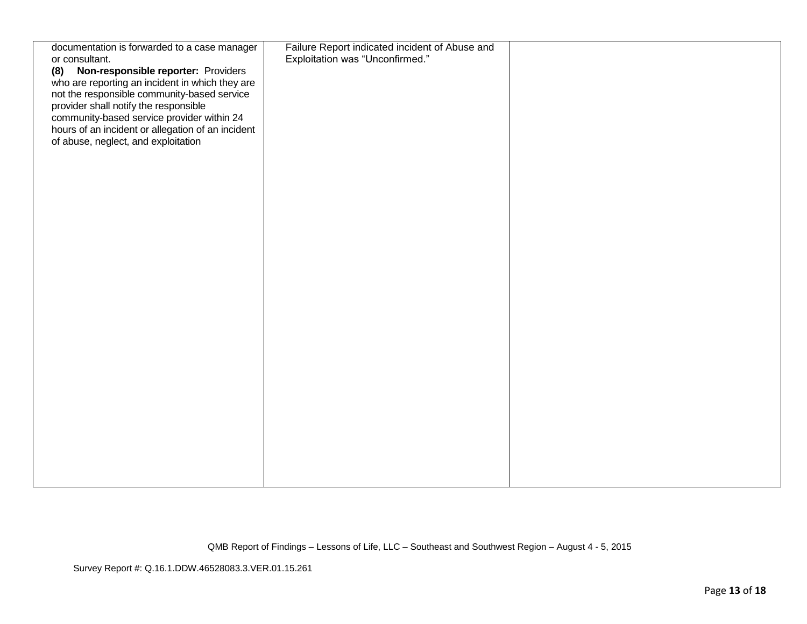| documentation is forwarded to a case manager<br>or consultant.                             | Failure Report indicated incident of Abuse and<br>Exploitation was "Unconfirmed." |  |
|--------------------------------------------------------------------------------------------|-----------------------------------------------------------------------------------|--|
| (8) Non-responsible reporter: Providers<br>who are reporting an incident in which they are |                                                                                   |  |
| not the responsible community-based service<br>provider shall notify the responsible       |                                                                                   |  |
| community-based service provider within 24                                                 |                                                                                   |  |
| hours of an incident or allegation of an incident<br>of abuse, neglect, and exploitation   |                                                                                   |  |
|                                                                                            |                                                                                   |  |
|                                                                                            |                                                                                   |  |
|                                                                                            |                                                                                   |  |
|                                                                                            |                                                                                   |  |
|                                                                                            |                                                                                   |  |
|                                                                                            |                                                                                   |  |
|                                                                                            |                                                                                   |  |
|                                                                                            |                                                                                   |  |
|                                                                                            |                                                                                   |  |
|                                                                                            |                                                                                   |  |
|                                                                                            |                                                                                   |  |
|                                                                                            |                                                                                   |  |
|                                                                                            |                                                                                   |  |
|                                                                                            |                                                                                   |  |
|                                                                                            |                                                                                   |  |
|                                                                                            |                                                                                   |  |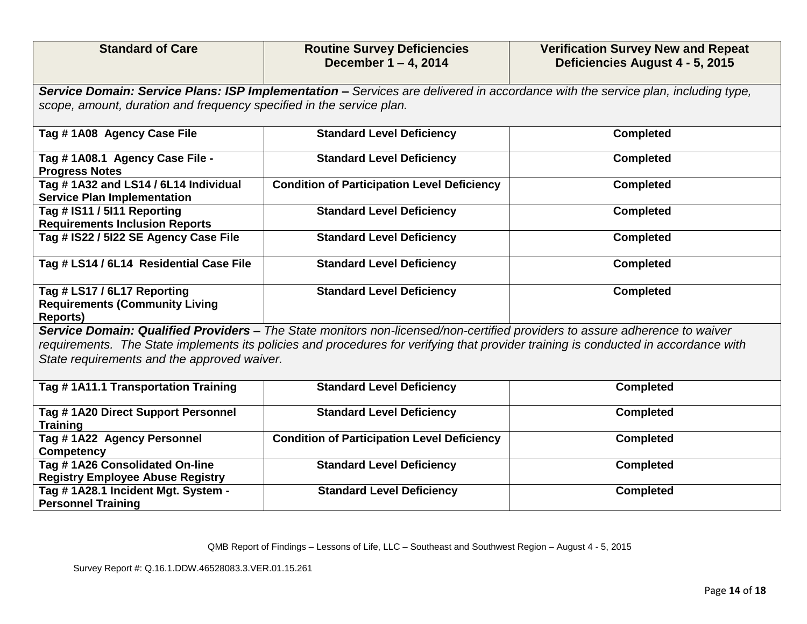| <b>Standard of Care</b>                                                                                                                                                            | <b>Routine Survey Deficiencies</b><br>December 1 - 4, 2014                                                                      | <b>Verification Survey New and Repeat</b><br>Deficiencies August 4 - 5, 2015 |
|------------------------------------------------------------------------------------------------------------------------------------------------------------------------------------|---------------------------------------------------------------------------------------------------------------------------------|------------------------------------------------------------------------------|
|                                                                                                                                                                                    | Service Domain: Service Plans: ISP Implementation - Services are delivered in accordance with the service plan, including type, |                                                                              |
| scope, amount, duration and frequency specified in the service plan.                                                                                                               |                                                                                                                                 |                                                                              |
| Tag #1A08 Agency Case File                                                                                                                                                         | <b>Standard Level Deficiency</b>                                                                                                | <b>Completed</b>                                                             |
| Tag # 1A08.1 Agency Case File -<br><b>Progress Notes</b>                                                                                                                           | <b>Standard Level Deficiency</b>                                                                                                | <b>Completed</b>                                                             |
| Tag #1A32 and LS14 / 6L14 Individual<br><b>Service Plan Implementation</b>                                                                                                         | <b>Condition of Participation Level Deficiency</b>                                                                              | <b>Completed</b>                                                             |
| Tag # IS11 / 5I11 Reporting<br><b>Requirements Inclusion Reports</b>                                                                                                               | <b>Standard Level Deficiency</b>                                                                                                | <b>Completed</b>                                                             |
| Tag # IS22 / 5I22 SE Agency Case File                                                                                                                                              | <b>Standard Level Deficiency</b>                                                                                                | <b>Completed</b>                                                             |
| Tag # LS14 / 6L14 Residential Case File                                                                                                                                            | <b>Standard Level Deficiency</b>                                                                                                | <b>Completed</b>                                                             |
| Tag # LS17 / 6L17 Reporting<br><b>Requirements (Community Living</b><br><b>Reports)</b>                                                                                            | <b>Standard Level Deficiency</b>                                                                                                | <b>Completed</b>                                                             |
|                                                                                                                                                                                    | Service Domain: Qualified Providers - The State monitors non-licensed/non-certified providers to assure adherence to waiver     |                                                                              |
| requirements. The State implements its policies and procedures for verifying that provider training is conducted in accordance with<br>State requirements and the approved waiver. |                                                                                                                                 |                                                                              |
| Tag #1A11.1 Transportation Training                                                                                                                                                | <b>Standard Level Deficiency</b>                                                                                                | <b>Completed</b>                                                             |
| Tag # 1A20 Direct Support Personnel<br><b>Training</b>                                                                                                                             | <b>Standard Level Deficiency</b>                                                                                                | <b>Completed</b>                                                             |
| Tag #1A22 Agency Personnel<br><b>Competency</b>                                                                                                                                    | <b>Condition of Participation Level Deficiency</b>                                                                              | <b>Completed</b>                                                             |
| Tag #1A26 Consolidated On-line<br><b>Registry Employee Abuse Registry</b>                                                                                                          | <b>Standard Level Deficiency</b>                                                                                                | <b>Completed</b>                                                             |
| Tag # 1A28.1 Incident Mgt. System -<br><b>Personnel Training</b>                                                                                                                   | <b>Standard Level Deficiency</b>                                                                                                | <b>Completed</b>                                                             |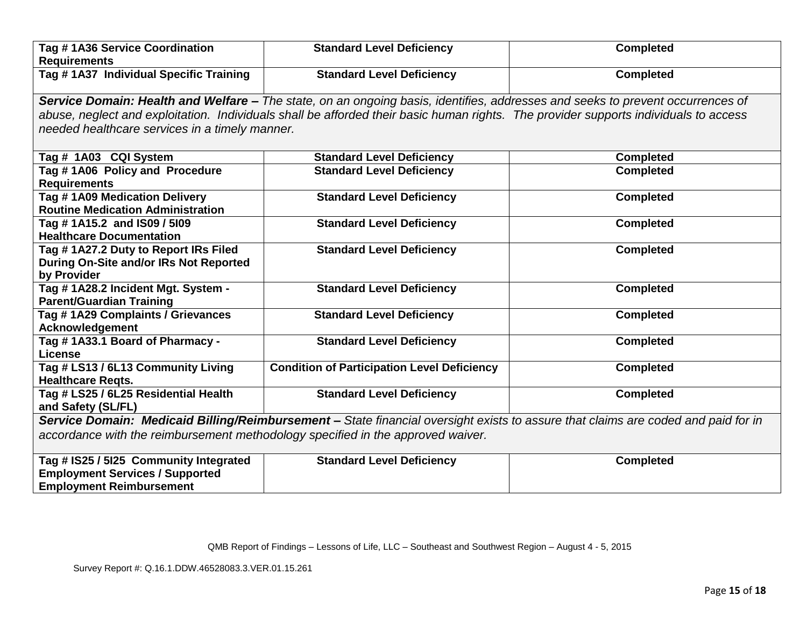| Tag #1A36 Service Coordination<br><b>Requirements</b>                           | <b>Standard Level Deficiency</b>                                                                                                     | <b>Completed</b>                                                                                                                  |
|---------------------------------------------------------------------------------|--------------------------------------------------------------------------------------------------------------------------------------|-----------------------------------------------------------------------------------------------------------------------------------|
| Tag # 1A37 Individual Specific Training                                         | <b>Standard Level Deficiency</b>                                                                                                     | <b>Completed</b>                                                                                                                  |
|                                                                                 | Service Domain: Health and Welfare - The state, on an ongoing basis, identifies, addresses and seeks to prevent occurrences of       |                                                                                                                                   |
|                                                                                 | abuse, neglect and exploitation. Individuals shall be afforded their basic human rights. The provider supports individuals to access |                                                                                                                                   |
| needed healthcare services in a timely manner.                                  |                                                                                                                                      |                                                                                                                                   |
|                                                                                 |                                                                                                                                      |                                                                                                                                   |
| Tag # 1A03 CQI System                                                           | <b>Standard Level Deficiency</b>                                                                                                     | <b>Completed</b>                                                                                                                  |
| Tag #1A06 Policy and Procedure<br><b>Requirements</b>                           | <b>Standard Level Deficiency</b>                                                                                                     | <b>Completed</b>                                                                                                                  |
| Tag #1A09 Medication Delivery                                                   | <b>Standard Level Deficiency</b>                                                                                                     | <b>Completed</b>                                                                                                                  |
| <b>Routine Medication Administration</b>                                        |                                                                                                                                      |                                                                                                                                   |
| Tag #1A15.2 and IS09 / 5109                                                     | <b>Standard Level Deficiency</b>                                                                                                     | <b>Completed</b>                                                                                                                  |
| <b>Healthcare Documentation</b>                                                 |                                                                                                                                      |                                                                                                                                   |
| Tag #1A27.2 Duty to Report IRs Filed                                            | <b>Standard Level Deficiency</b>                                                                                                     | <b>Completed</b>                                                                                                                  |
| During On-Site and/or IRs Not Reported                                          |                                                                                                                                      |                                                                                                                                   |
| by Provider                                                                     |                                                                                                                                      |                                                                                                                                   |
| Tag #1A28.2 Incident Mgt. System -<br><b>Parent/Guardian Training</b>           | <b>Standard Level Deficiency</b>                                                                                                     | <b>Completed</b>                                                                                                                  |
| Tag #1A29 Complaints / Grievances                                               | <b>Standard Level Deficiency</b>                                                                                                     | <b>Completed</b>                                                                                                                  |
| <b>Acknowledgement</b>                                                          |                                                                                                                                      |                                                                                                                                   |
| Tag #1A33.1 Board of Pharmacy -                                                 | <b>Standard Level Deficiency</b>                                                                                                     | <b>Completed</b>                                                                                                                  |
| License                                                                         |                                                                                                                                      |                                                                                                                                   |
| Tag # LS13 / 6L13 Community Living                                              | <b>Condition of Participation Level Deficiency</b>                                                                                   | <b>Completed</b>                                                                                                                  |
| <b>Healthcare Regts.</b>                                                        |                                                                                                                                      |                                                                                                                                   |
| Tag # LS25 / 6L25 Residential Health                                            | <b>Standard Level Deficiency</b>                                                                                                     | <b>Completed</b>                                                                                                                  |
| and Safety (SL/FL)                                                              |                                                                                                                                      |                                                                                                                                   |
|                                                                                 |                                                                                                                                      | Service Domain: Medicaid Billing/Reimbursement - State financial oversight exists to assure that claims are coded and paid for in |
| accordance with the reimbursement methodology specified in the approved waiver. |                                                                                                                                      |                                                                                                                                   |
| Tag # IS25 / 5I25 Community Integrated                                          | <b>Standard Level Deficiency</b>                                                                                                     | <b>Completed</b>                                                                                                                  |
| <b>Employment Services / Supported</b>                                          |                                                                                                                                      |                                                                                                                                   |
| <b>Employment Reimbursement</b>                                                 |                                                                                                                                      |                                                                                                                                   |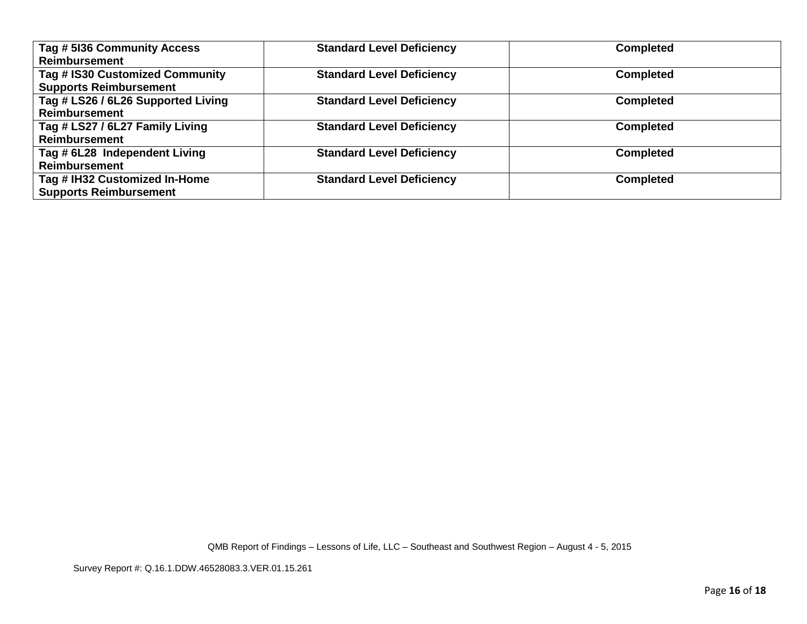| Tag # 5136 Community Access<br><b>Reimbursement</b>              | <b>Standard Level Deficiency</b> | <b>Completed</b> |
|------------------------------------------------------------------|----------------------------------|------------------|
| Tag # IS30 Customized Community<br><b>Supports Reimbursement</b> | <b>Standard Level Deficiency</b> | <b>Completed</b> |
| Tag # LS26 / 6L26 Supported Living<br><b>Reimbursement</b>       | <b>Standard Level Deficiency</b> | <b>Completed</b> |
| Tag # LS27 / 6L27 Family Living<br><b>Reimbursement</b>          | <b>Standard Level Deficiency</b> | <b>Completed</b> |
| Tag # 6L28 Independent Living<br><b>Reimbursement</b>            | <b>Standard Level Deficiency</b> | <b>Completed</b> |
| Tag # IH32 Customized In-Home<br><b>Supports Reimbursement</b>   | <b>Standard Level Deficiency</b> | <b>Completed</b> |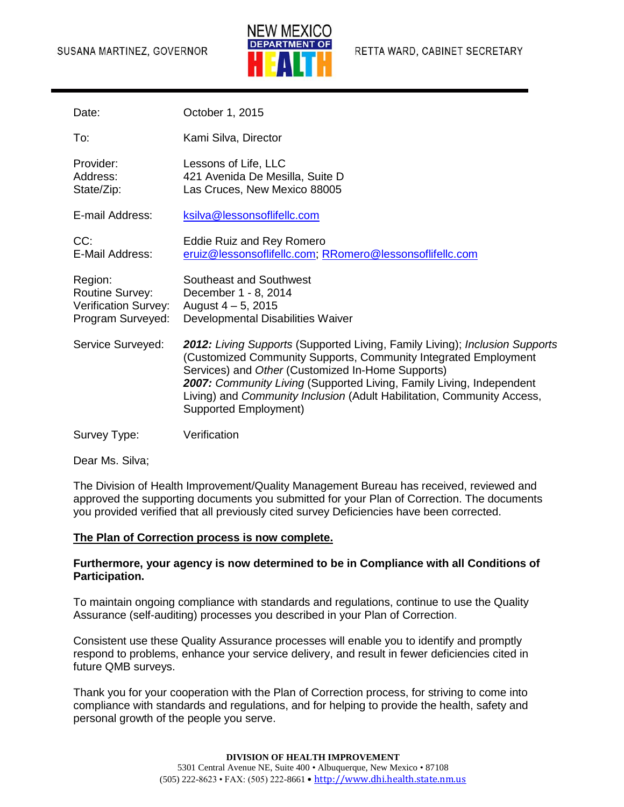#### SUSANA MARTINEZ, GOVERNOR



| Date:                                                                          | October 1, 2015                                                                                                                                                                                                                                                                                                                                                                       |
|--------------------------------------------------------------------------------|---------------------------------------------------------------------------------------------------------------------------------------------------------------------------------------------------------------------------------------------------------------------------------------------------------------------------------------------------------------------------------------|
| To:                                                                            | Kami Silva, Director                                                                                                                                                                                                                                                                                                                                                                  |
| Provider:<br>Address:<br>State/Zip:                                            | Lessons of Life, LLC<br>421 Avenida De Mesilla, Suite D<br>Las Cruces, New Mexico 88005                                                                                                                                                                                                                                                                                               |
| E-mail Address:                                                                | ksilva@lessonsoflifellc.com                                                                                                                                                                                                                                                                                                                                                           |
| CC:<br>E-Mail Address:                                                         | Eddie Ruiz and Rey Romero<br>eruiz@lessonsoflifellc.com; RRomero@lessonsoflifellc.com                                                                                                                                                                                                                                                                                                 |
| Region:<br><b>Routine Survey:</b><br>Verification Survey:<br>Program Surveyed: | Southeast and Southwest<br>December 1 - 8, 2014<br>August 4 - 5, 2015<br>Developmental Disabilities Waiver                                                                                                                                                                                                                                                                            |
| Service Surveyed:                                                              | <b>2012:</b> Living Supports (Supported Living, Family Living); Inclusion Supports<br>(Customized Community Supports, Community Integrated Employment<br>Services) and Other (Customized In-Home Supports)<br>2007: Community Living (Supported Living, Family Living, Independent<br>Living) and Community Inclusion (Adult Habilitation, Community Access,<br>Supported Employment) |
| Survey Type:                                                                   | Verification                                                                                                                                                                                                                                                                                                                                                                          |

Dear Ms. Silva;

The Division of Health Improvement/Quality Management Bureau has received, reviewed and approved the supporting documents you submitted for your Plan of Correction. The documents you provided verified that all previously cited survey Deficiencies have been corrected.

# **The Plan of Correction process is now complete.**

## **Furthermore, your agency is now determined to be in Compliance with all Conditions of Participation.**

To maintain ongoing compliance with standards and regulations, continue to use the Quality Assurance (self-auditing) processes you described in your Plan of Correction.

Consistent use these Quality Assurance processes will enable you to identify and promptly respond to problems, enhance your service delivery, and result in fewer deficiencies cited in future QMB surveys.

Thank you for your cooperation with the Plan of Correction process, for striving to come into compliance with standards and regulations, and for helping to provide the health, safety and personal growth of the people you serve.